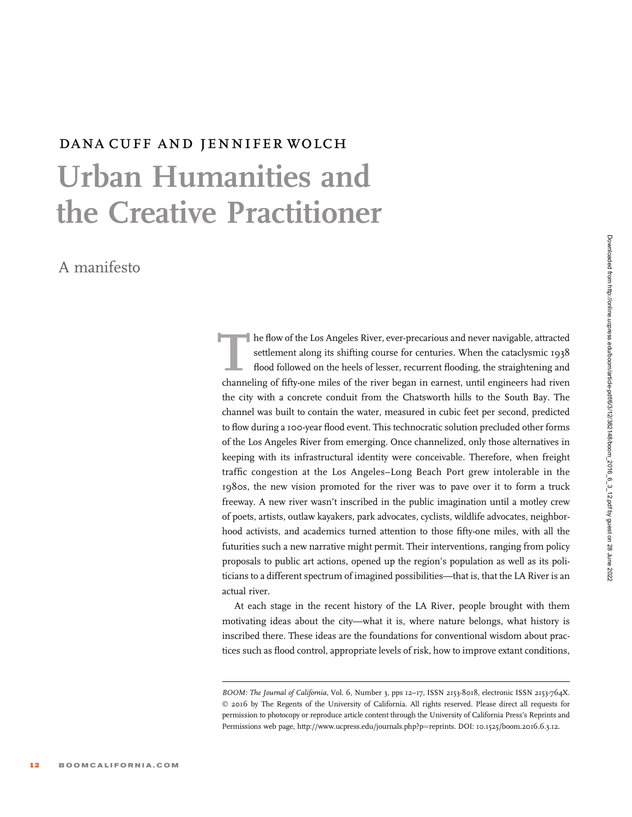# dana cuff and jennifer wolch Urban Humanities and the Creative Practitioner

A manifesto

The flow of the Los Angeles River, ever-precarious and never navigable, attracted<br>settlement along its shifting course for centuries. When the cataclysmic 1938<br>flood followed on the heels of lesser, recurrent flooding, the settlement along its shifting course for centuries. When the cataclysmic 1938 flood followed on the heels of lesser, recurrent flooding, the straightening and channeling of fifty-one miles of the river began in earnest, until engineers had riven the city with a concrete conduit from the Chatsworth hills to the South Bay. The channel was built to contain the water, measured in cubic feet per second, predicted to flow during a 100-year flood event. This technocratic solution precluded other forms of the Los Angeles River from emerging. Once channelized, only those alternatives in keeping with its infrastructural identity were conceivable. Therefore, when freight traffic congestion at the Los Angeles–Long Beach Port grew intolerable in the 1980s, the new vision promoted for the river was to pave over it to form a truck freeway. A new river wasn't inscribed in the public imagination until a motley crew of poets, artists, outlaw kayakers, park advocates, cyclists, wildlife advocates, neighborhood activists, and academics turned attention to those fifty-one miles, with all the futurities such a new narrative might permit. Their interventions, ranging from policy proposals to public art actions, opened up the region's population as well as its politicians to a different spectrum of imagined possibilities—that is, that the LA River is an actual river.

At each stage in the recent history of the LA River, people brought with them motivating ideas about the city—what it is, where nature belongs, what history is inscribed there. These ideas are the foundations for conventional wisdom about practices such as flood control, appropriate levels of risk, how to improve extant conditions,

BOOM: The Journal of California, Vol. 6, Number 3, pps 12-17, ISSN 2153-8018, electronic ISSN 2153-764X. © 2016 by The Regents of the University of California. All rights reserved. Please direct all requests for permission to photocopy or reproduce article content through the University of California Press's Reprints and Permissions web page, http://www.ucpress.edu/journals.php?p=reprints. DOI: 10.1525/boom.2016.6.3.12.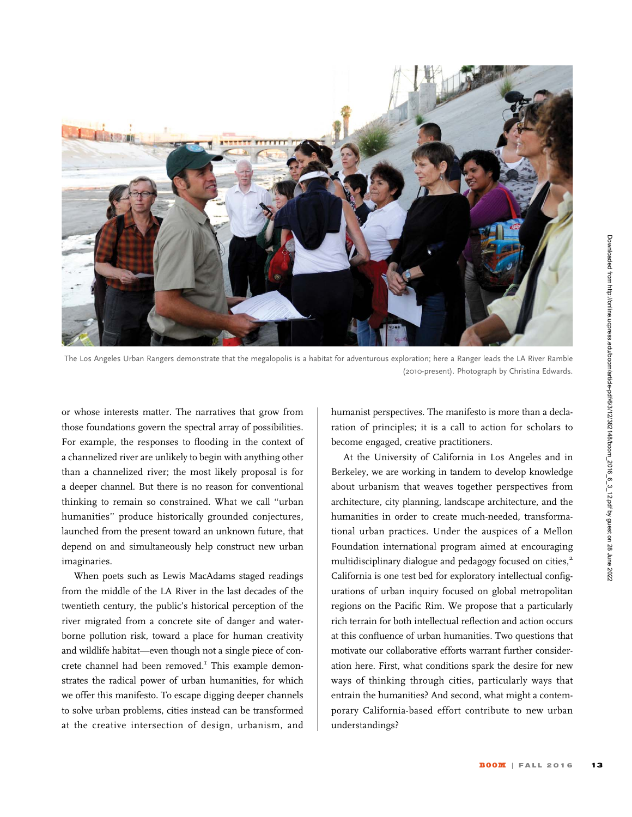

The Los Angeles Urban Rangers demonstrate that the megalopolis is a habitat for adventurous exploration; here a Ranger leads the LA River Ramble (2010-present). Photograph by Christina Edwards.

or whose interests matter. The narratives that grow from those foundations govern the spectral array of possibilities. For example, the responses to flooding in the context of a channelized river are unlikely to begin with anything other than a channelized river; the most likely proposal is for a deeper channel. But there is no reason for conventional thinking to remain so constrained. What we call ''urban humanities'' produce historically grounded conjectures, launched from the present toward an unknown future, that depend on and simultaneously help construct new urban imaginaries.

When poets such as Lewis MacAdams staged readings from the middle of the LA River in the last decades of the twentieth century, the public's historical perception of the river migrated from a concrete site of danger and waterborne pollution risk, toward a place for human creativity and wildlife habitat—even though not a single piece of concrete channel had been removed.<sup>1</sup> This example demonstrates the radical power of urban humanities, for which we offer this manifesto. To escape digging deeper channels to solve urban problems, cities instead can be transformed at the creative intersection of design, urbanism, and

humanist perspectives. The manifesto is more than a declaration of principles; it is a call to action for scholars to become engaged, creative practitioners.

At the University of California in Los Angeles and in Berkeley, we are working in tandem to develop knowledge about urbanism that weaves together perspectives from architecture, city planning, landscape architecture, and the humanities in order to create much-needed, transformational urban practices. Under the auspices of a Mellon Foundation international program aimed at encouraging multidisciplinary dialogue and pedagogy focused on cities,<sup>2</sup> California is one test bed for exploratory intellectual configurations of urban inquiry focused on global metropolitan regions on the Pacific Rim. We propose that a particularly rich terrain for both intellectual reflection and action occurs at this confluence of urban humanities. Two questions that motivate our collaborative efforts warrant further consideration here. First, what conditions spark the desire for new ways of thinking through cities, particularly ways that entrain the humanities? And second, what might a contemporary California-based effort contribute to new urban understandings?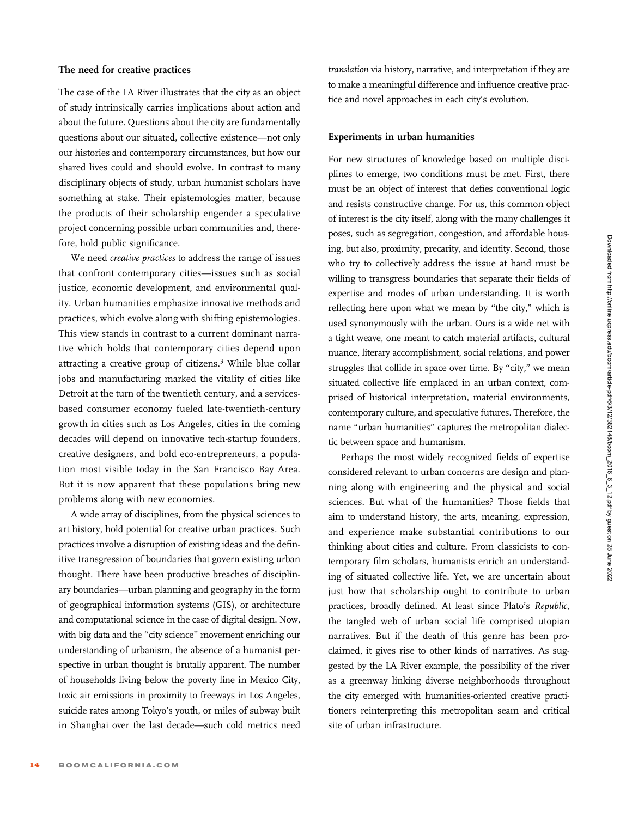## The need for creative practices

The case of the LA River illustrates that the city as an object of study intrinsically carries implications about action and about the future. Questions about the city are fundamentally questions about our situated, collective existence—not only our histories and contemporary circumstances, but how our shared lives could and should evolve. In contrast to many disciplinary objects of study, urban humanist scholars have something at stake. Their epistemologies matter, because the products of their scholarship engender a speculative project concerning possible urban communities and, therefore, hold public significance.

We need creative practices to address the range of issues that confront contemporary cities—issues such as social justice, economic development, and environmental quality. Urban humanities emphasize innovative methods and practices, which evolve along with shifting epistemologies. This view stands in contrast to a current dominant narrative which holds that contemporary cities depend upon attracting a creative group of citizens.<sup>3</sup> While blue collar jobs and manufacturing marked the vitality of cities like Detroit at the turn of the twentieth century, and a servicesbased consumer economy fueled late-twentieth-century growth in cities such as Los Angeles, cities in the coming decades will depend on innovative tech-startup founders, creative designers, and bold eco-entrepreneurs, a population most visible today in the San Francisco Bay Area. But it is now apparent that these populations bring new problems along with new economies.

A wide array of disciplines, from the physical sciences to art history, hold potential for creative urban practices. Such practices involve a disruption of existing ideas and the definitive transgression of boundaries that govern existing urban thought. There have been productive breaches of disciplinary boundaries—urban planning and geography in the form of geographical information systems (GIS), or architecture and computational science in the case of digital design. Now, with big data and the ''city science'' movement enriching our understanding of urbanism, the absence of a humanist perspective in urban thought is brutally apparent. The number of households living below the poverty line in Mexico City, toxic air emissions in proximity to freeways in Los Angeles, suicide rates among Tokyo's youth, or miles of subway built in Shanghai over the last decade—such cold metrics need

translation via history, narrative, and interpretation if they are to make a meaningful difference and influence creative practice and novel approaches in each city's evolution.

#### Experiments in urban humanities

For new structures of knowledge based on multiple disciplines to emerge, two conditions must be met. First, there must be an object of interest that defies conventional logic and resists constructive change. For us, this common object of interest is the city itself, along with the many challenges it poses, such as segregation, congestion, and affordable housing, but also, proximity, precarity, and identity. Second, those who try to collectively address the issue at hand must be willing to transgress boundaries that separate their fields of expertise and modes of urban understanding. It is worth reflecting here upon what we mean by "the city," which is used synonymously with the urban. Ours is a wide net with a tight weave, one meant to catch material artifacts, cultural nuance, literary accomplishment, social relations, and power struggles that collide in space over time. By "city," we mean situated collective life emplaced in an urban context, comprised of historical interpretation, material environments, contemporary culture, and speculative futures. Therefore, the name "urban humanities" captures the metropolitan dialectic between space and humanism.

Perhaps the most widely recognized fields of expertise considered relevant to urban concerns are design and planning along with engineering and the physical and social sciences. But what of the humanities? Those fields that aim to understand history, the arts, meaning, expression, and experience make substantial contributions to our thinking about cities and culture. From classicists to contemporary film scholars, humanists enrich an understanding of situated collective life. Yet, we are uncertain about just how that scholarship ought to contribute to urban practices, broadly defined. At least since Plato's Republic, the tangled web of urban social life comprised utopian narratives. But if the death of this genre has been proclaimed, it gives rise to other kinds of narratives. As suggested by the LA River example, the possibility of the river as a greenway linking diverse neighborhoods throughout the city emerged with humanities-oriented creative practitioners reinterpreting this metropolitan seam and critical site of urban infrastructure.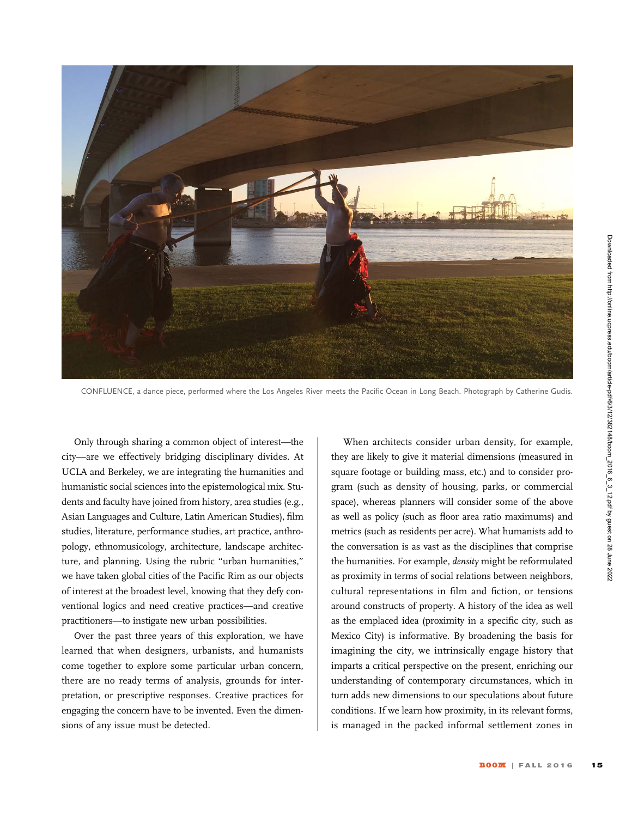

CONFLUENCE, a dance piece, performed where the Los Angeles River meets the Pacific Ocean in Long Beach. Photograph by Catherine Gudis.

Only through sharing a common object of interest—the city—are we effectively bridging disciplinary divides. At UCLA and Berkeley, we are integrating the humanities and humanistic social sciences into the epistemological mix. Students and faculty have joined from history, area studies (e.g., Asian Languages and Culture, Latin American Studies), film studies, literature, performance studies, art practice, anthropology, ethnomusicology, architecture, landscape architecture, and planning. Using the rubric "urban humanities," we have taken global cities of the Pacific Rim as our objects of interest at the broadest level, knowing that they defy conventional logics and need creative practices—and creative practitioners—to instigate new urban possibilities.

Over the past three years of this exploration, we have learned that when designers, urbanists, and humanists come together to explore some particular urban concern, there are no ready terms of analysis, grounds for interpretation, or prescriptive responses. Creative practices for engaging the concern have to be invented. Even the dimensions of any issue must be detected.

When architects consider urban density, for example, they are likely to give it material dimensions (measured in square footage or building mass, etc.) and to consider program (such as density of housing, parks, or commercial space), whereas planners will consider some of the above as well as policy (such as floor area ratio maximums) and metrics (such as residents per acre). What humanists add to the conversation is as vast as the disciplines that comprise the humanities. For example, density might be reformulated as proximity in terms of social relations between neighbors, cultural representations in film and fiction, or tensions around constructs of property. A history of the idea as well as the emplaced idea (proximity in a specific city, such as Mexico City) is informative. By broadening the basis for imagining the city, we intrinsically engage history that imparts a critical perspective on the present, enriching our understanding of contemporary circumstances, which in turn adds new dimensions to our speculations about future conditions. If we learn how proximity, in its relevant forms, is managed in the packed informal settlement zones in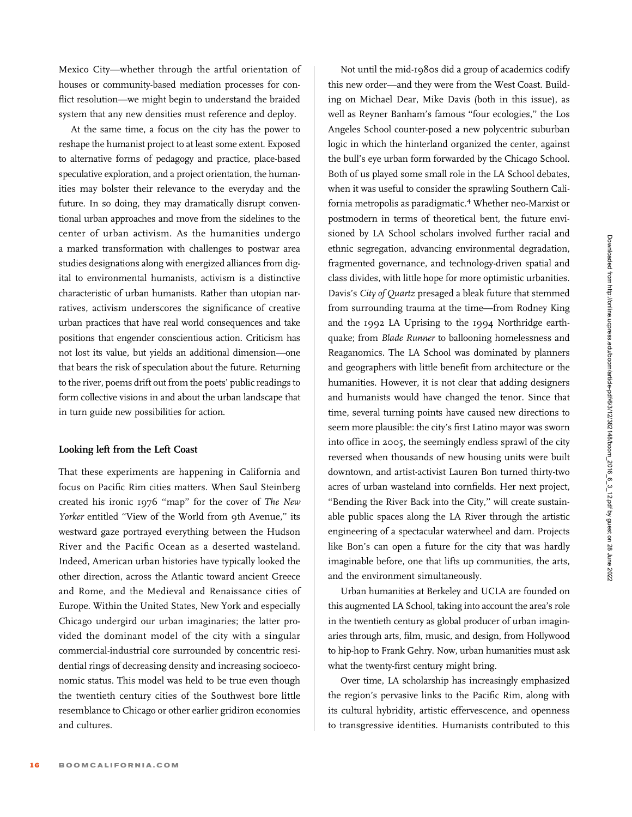Mexico City—whether through the artful orientation of houses or community-based mediation processes for conflict resolution—we might begin to understand the braided system that any new densities must reference and deploy.

At the same time, a focus on the city has the power to reshape the humanist project to at least some extent. Exposed to alternative forms of pedagogy and practice, place-based speculative exploration, and a project orientation, the humanities may bolster their relevance to the everyday and the future. In so doing, they may dramatically disrupt conventional urban approaches and move from the sidelines to the center of urban activism. As the humanities undergo a marked transformation with challenges to postwar area studies designations along with energized alliances from digital to environmental humanists, activism is a distinctive characteristic of urban humanists. Rather than utopian narratives, activism underscores the significance of creative urban practices that have real world consequences and take positions that engender conscientious action. Criticism has not lost its value, but yields an additional dimension—one that bears the risk of speculation about the future. Returning to the river, poems drift out from the poets' public readings to form collective visions in and about the urban landscape that in turn guide new possibilities for action.

### Looking left from the Left Coast

That these experiments are happening in California and focus on Pacific Rim cities matters. When Saul Steinberg created his ironic 1976 ''map'' for the cover of The New Yorker entitled "View of the World from 9th Avenue," its westward gaze portrayed everything between the Hudson River and the Pacific Ocean as a deserted wasteland. Indeed, American urban histories have typically looked the other direction, across the Atlantic toward ancient Greece and Rome, and the Medieval and Renaissance cities of Europe. Within the United States, New York and especially Chicago undergird our urban imaginaries; the latter provided the dominant model of the city with a singular commercial-industrial core surrounded by concentric residential rings of decreasing density and increasing socioeconomic status. This model was held to be true even though the twentieth century cities of the Southwest bore little resemblance to Chicago or other earlier gridiron economies and cultures.

Not until the mid-1980s did a group of academics codify this new order—and they were from the West Coast. Building on Michael Dear, Mike Davis (both in this issue), as well as Reyner Banham's famous "four ecologies," the Los Angeles School counter-posed a new polycentric suburban logic in which the hinterland organized the center, against the bull's eye urban form forwarded by the Chicago School. Both of us played some small role in the LA School debates, when it was useful to consider the sprawling Southern California metropolis as paradigmatic.<sup>4</sup> Whether neo-Marxist or postmodern in terms of theoretical bent, the future envisioned by LA School scholars involved further racial and ethnic segregation, advancing environmental degradation, fragmented governance, and technology-driven spatial and class divides, with little hope for more optimistic urbanities. Davis's City of Quartz presaged a bleak future that stemmed from surrounding trauma at the time—from Rodney King and the 1992 LA Uprising to the 1994 Northridge earthquake; from Blade Runner to ballooning homelessness and Reaganomics. The LA School was dominated by planners and geographers with little benefit from architecture or the humanities. However, it is not clear that adding designers and humanists would have changed the tenor. Since that time, several turning points have caused new directions to seem more plausible: the city's first Latino mayor was sworn into office in 2005, the seemingly endless sprawl of the city reversed when thousands of new housing units were built downtown, and artist-activist Lauren Bon turned thirty-two acres of urban wasteland into cornfields. Her next project, ''Bending the River Back into the City,'' will create sustainable public spaces along the LA River through the artistic engineering of a spectacular waterwheel and dam. Projects like Bon's can open a future for the city that was hardly imaginable before, one that lifts up communities, the arts, and the environment simultaneously.

Urban humanities at Berkeley and UCLA are founded on this augmented LA School, taking into account the area's role in the twentieth century as global producer of urban imaginaries through arts, film, music, and design, from Hollywood to hip-hop to Frank Gehry. Now, urban humanities must ask what the twenty-first century might bring.

Over time, LA scholarship has increasingly emphasized the region's pervasive links to the Pacific Rim, along with its cultural hybridity, artistic effervescence, and openness to transgressive identities. Humanists contributed to this